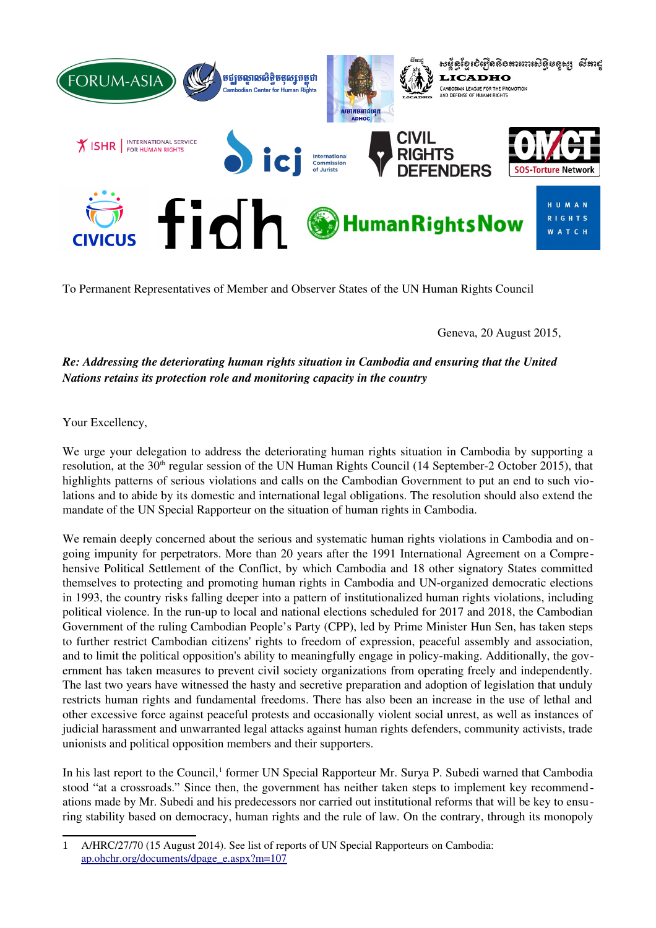

To Permanent Representatives of Member and Observer States of the UN Human Rights Council

Geneva, 20 August 2015,

# *Re: Addressing the deteriorating human rights situation in Cambodia and ensuring that the United Nations retains its protection role and monitoring capacity in the country*

Your Excellency,

We urge your delegation to address the deteriorating human rights situation in Cambodia by supporting a resolution, at the  $30<sup>th</sup>$  regular session of the UN Human Rights Council (14 September-2 October 2015), that highlights patterns of serious violations and calls on the Cambodian Government to put an end to such violations and to abide by its domestic and international legal obligations. The resolution should also extend the mandate of the UN Special Rapporteur on the situation of human rights in Cambodia.

We remain deeply concerned about the serious and systematic human rights violations in Cambodia and ongoing impunity for perpetrators. More than 20 years after the 1991 International Agreement on a Comprehensive Political Settlement of the Conflict, by which Cambodia and 18 other signatory States committed themselves to protecting and promoting human rights in Cambodia and UN-organized democratic elections in 1993, the country risks falling deeper into a pattern of institutionalized human rights violations, including political violence. In the run-up to local and national elections scheduled for 2017 and 2018, the Cambodian Government of the ruling Cambodian People's Party (CPP), led by Prime Minister Hun Sen, has taken steps to further restrict Cambodian citizens' rights to freedom of expression, peaceful assembly and association, and to limit the political opposition's ability to meaningfully engage in policy-making. Additionally, the government has taken measures to prevent civil society organizations from operating freely and independently. The last two years have witnessed the hasty and secretive preparation and adoption of legislation that unduly restricts human rights and fundamental freedoms. There has also been an increase in the use of lethal and other excessive force against peaceful protests and occasionally violent social unrest, as well as instances of judicial harassment and unwarranted legal attacks against human rights defenders, community activists, trade unionists and political opposition members and their supporters.

In his last report to the Council,<sup>[1](#page-0-0)</sup> former UN Special Rapporteur Mr. Surya P. Subedi warned that Cambodia stood "at a crossroads." Since then, the government has neither taken steps to implement key recommendations made by Mr. Subedi and his predecessors nor carried out institutional reforms that will be key to ensuring stability based on democracy, human rights and the rule of law. On the contrary, through its monopoly

<span id="page-0-0"></span><sup>1</sup> A/HRC/27/70 (15 August 2014). See list of reports of UN Special Rapporteurs on Cambodia: [ap.ohchr.org/documents/dpage\\_e.aspx?m=107](http://ap.ohchr.org/documents/dpage_e.aspx?m=107)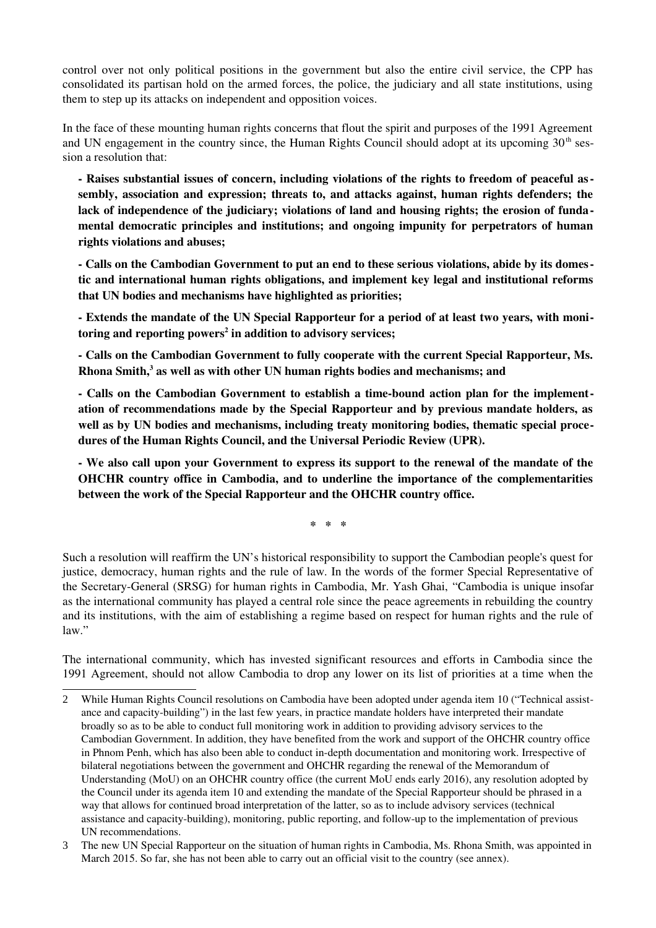control over not only political positions in the government but also the entire civil service, the CPP has consolidated its partisan hold on the armed forces, the police, the judiciary and all state institutions, using them to step up its attacks on independent and opposition voices.

In the face of these mounting human rights concerns that flout the spirit and purposes of the 1991 Agreement and UN engagement in the country since, the Human Rights Council should adopt at its upcoming  $30<sup>th</sup>$  session a resolution that:

 Raises substantial issues of concern, including violations of the rights to freedom of peaceful assembly, association and expression; threats to, and attacks against, human rights defenders; the lack of independence of the judiciary; violations of land and housing rights; the erosion of fundamental democratic principles and institutions; and ongoing impunity for perpetrators of human rights violations and abuses;

 Calls on the Cambodian Government to put an end to these serious violations, abide by its domestic and international human rights obligations, and implement key legal and institutional reforms that UN bodies and mechanisms have highlighted as priorities;

 Extends the mandate of the UN Special Rapporteur for a period of at least two years, with moni-toring and reporting powers<sup>[2](#page-1-0)</sup> in addition to advisory services;

 Calls on the Cambodian Government to fully cooperate with the current Special Rapporteur, Ms. Rhona Smith,<sup>[3](#page-1-1)</sup> as well as with other UN human rights bodies and mechanisms; and

- Calls on the Cambodian Government to establish a time-bound action plan for the implementation of recommendations made by the Special Rapporteur and by previous mandate holders, as well as by UN bodies and mechanisms, including treaty monitoring bodies, thematic special procedures of the Human Rights Council, and the Universal Periodic Review (UPR).

 We also call upon your Government to express its support to the renewal of the mandate of the OHCHR country office in Cambodia, and to underline the importance of the complementarities between the work of the Special Rapporteur and the OHCHR country office.

\* \* \*

Such a resolution will reaffirm the UN's historical responsibility to support the Cambodian people's quest for justice, democracy, human rights and the rule of law. In the words of the former Special Representative of the Secretary-General (SRSG) for human rights in Cambodia, Mr. Yash Ghai, "Cambodia is unique insofar as the international community has played a central role since the peace agreements in rebuilding the country and its institutions, with the aim of establishing a regime based on respect for human rights and the rule of law."

The international community, which has invested significant resources and efforts in Cambodia since the 1991 Agreement, should not allow Cambodia to drop any lower on its list of priorities at a time when the

<span id="page-1-0"></span><sup>2</sup> While Human Rights Council resolutions on Cambodia have been adopted under agenda item 10 ("Technical assistance and capacity-building") in the last few years, in practice mandate holders have interpreted their mandate broadly so as to be able to conduct full monitoring work in addition to providing advisory services to the Cambodian Government. In addition, they have benefited from the work and support of the OHCHR country office in Phnom Penh, which has also been able to conduct in-depth documentation and monitoring work. Irrespective of bilateral negotiations between the government and OHCHR regarding the renewal of the Memorandum of Understanding (MoU) on an OHCHR country office (the current MoU ends early 2016), any resolution adopted by the Council under its agenda item 10 and extending the mandate of the Special Rapporteur should be phrased in a way that allows for continued broad interpretation of the latter, so as to include advisory services (technical assistance and capacity-building), monitoring, public reporting, and follow-up to the implementation of previous UN recommendations.

<span id="page-1-1"></span><sup>3</sup> The new UN Special Rapporteur on the situation of human rights in Cambodia, Ms. Rhona Smith, was appointed in March 2015. So far, she has not been able to carry out an official visit to the country (see annex).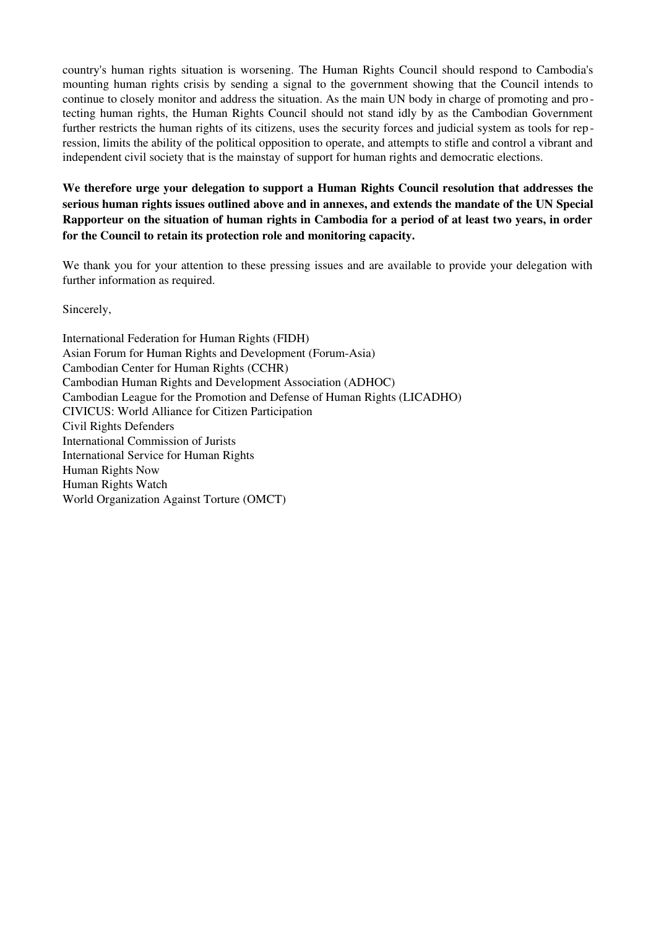country's human rights situation is worsening. The Human Rights Council should respond to Cambodia's mounting human rights crisis by sending a signal to the government showing that the Council intends to continue to closely monitor and address the situation. As the main UN body in charge of promoting and pro tecting human rights, the Human Rights Council should not stand idly by as the Cambodian Government further restricts the human rights of its citizens, uses the security forces and judicial system as tools for rep ression, limits the ability of the political opposition to operate, and attempts to stifle and control a vibrant and independent civil society that is the mainstay of support for human rights and democratic elections.

We therefore urge your delegation to support a Human Rights Council resolution that addresses the serious human rights issues outlined above and in annexes, and extends the mandate of the UN Special Rapporteur on the situation of human rights in Cambodia for a period of at least two years, in order for the Council to retain its protection role and monitoring capacity.

We thank you for your attention to these pressing issues and are available to provide your delegation with further information as required.

Sincerely,

International Federation for Human Rights (FIDH) Asian Forum for Human Rights and Development (Forum-Asia) Cambodian Center for Human Rights (CCHR) Cambodian Human Rights and Development Association (ADHOC) Cambodian League for the Promotion and Defense of Human Rights (LICADHO) CIVICUS: World Alliance for Citizen Participation Civil Rights Defenders International Commission of Jurists International Service for Human Rights Human Rights Now Human Rights Watch World Organization Against Torture (OMCT)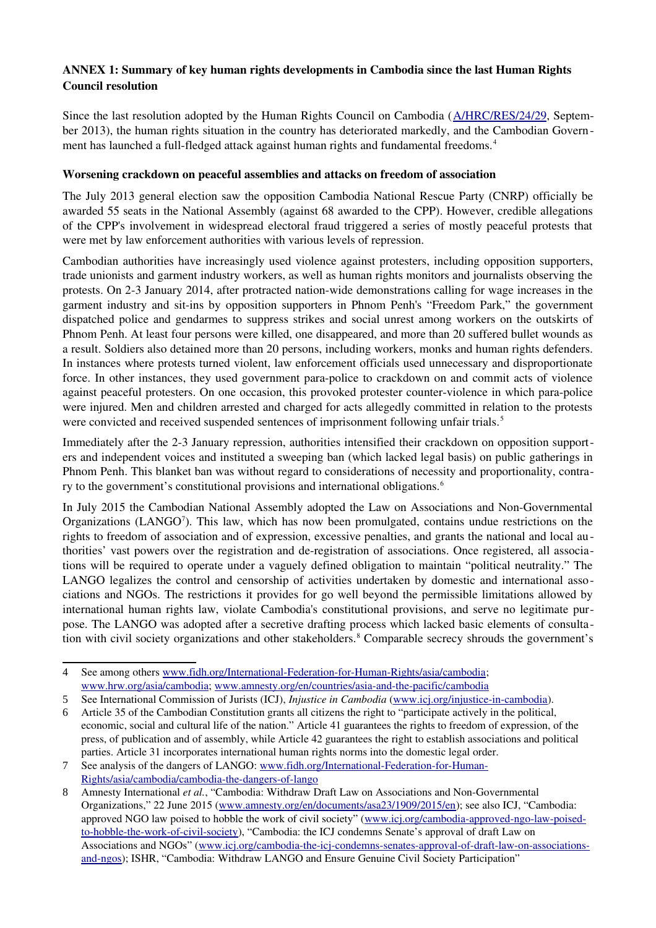## ANNEX 1: Summary of key human rights developments in Cambodia since the last Human Rights Council resolution

Since the last resolution adopted by the Human Rights Council on Cambodia ([A/HRC/RES/24/29,](http://daccess-dds-ny.un.org/doc/UNDOC/GEN/G13/179/85/PDF/G1317985.pdf?OpenElement) September 2013), the human rights situation in the country has deteriorated markedly, and the Cambodian Govern-ment has launched a full-fledged attack against human rights and fundamental freedoms.<sup>[4](#page-3-0)</sup>

#### Worsening crackdown on peaceful assemblies and attacks on freedom of association

The July 2013 general election saw the opposition Cambodia National Rescue Party (CNRP) officially be awarded 55 seats in the National Assembly (against 68 awarded to the CPP). However, credible allegations of the CPP's involvement in widespread electoral fraud triggered a series of mostly peaceful protests that were met by law enforcement authorities with various levels of repression.

Cambodian authorities have increasingly used violence against protesters, including opposition supporters, trade unionists and garment industry workers, as well as human rights monitors and journalists observing the protests. On 2-3 January 2014, after protracted nation-wide demonstrations calling for wage increases in the garment industry and sit-ins by opposition supporters in Phnom Penh's "Freedom Park," the government dispatched police and gendarmes to suppress strikes and social unrest among workers on the outskirts of Phnom Penh. At least four persons were killed, one disappeared, and more than 20 suffered bullet wounds as a result. Soldiers also detained more than 20 persons, including workers, monks and human rights defenders. In instances where protests turned violent, law enforcement officials used unnecessary and disproportionate force. In other instances, they used government para-police to crackdown on and commit acts of violence against peaceful protesters. On one occasion, this provoked protester counter-violence in which para-police were injured. Men and children arrested and charged for acts allegedly committed in relation to the protests were convicted and received suspended sentences of imprisonment following unfair trials.<sup>[5](#page-3-1)</sup>

Immediately after the 23 January repression, authorities intensified their crackdown on opposition supporters and independent voices and instituted a sweeping ban (which lacked legal basis) on public gatherings in Phnom Penh. This blanket ban was without regard to considerations of necessity and proportionality, contra-ry to the government's constitutional provisions and international obligations.<sup>[6](#page-3-2)</sup>

In July 2015 the Cambodian National Assembly adopted the Law on Associations and Non-Governmental Organizations (LANGO<sup>[7](#page-3-3)</sup>). This law, which has now been promulgated, contains undue restrictions on the rights to freedom of association and of expression, excessive penalties, and grants the national and local authorities' vast powers over the registration and deregistration of associations. Once registered, all associations will be required to operate under a vaguely defined obligation to maintain "political neutrality." The LANGO legalizes the control and censorship of activities undertaken by domestic and international associations and NGOs. The restrictions it provides for go well beyond the permissible limitations allowed by international human rights law, violate Cambodia's constitutional provisions, and serve no legitimate purpose. The LANGO was adopted after a secretive drafting process which lacked basic elements of consulta-tion with civil society organizations and other stakeholders.<sup>[8](#page-3-4)</sup> Comparable secrecy shrouds the government's

<span id="page-3-0"></span><sup>4</sup> See among others www.fidh.org/International-Federation-for-Human-Rights/asia/cambodia; [www.hrw.org/asia/cambodia;](https://www.hrw.org/asia/cambodia) www.amnesty.org/en/countries/asia-and-the-pacific/cambodia

<span id="page-3-1"></span><sup>5</sup> See International Commission of Jurists (ICJ), *Injustice in Cambodia* (www.icj.org/injustice-in-cambodia).

<span id="page-3-2"></span><sup>6</sup> Article 35 of the Cambodian Constitution grants all citizens the right to "participate actively in the political, economic, social and cultural life of the nation." Article 41 guarantees the rights to freedom of expression, of the press, of publication and of assembly, while Article 42 guarantees the right to establish associations and political parties. Article 31 incorporates international human rights norms into the domestic legal order.

<span id="page-3-3"></span><sup>7</sup> See analysis of the dangers of LANGO: www.fidh.org/International-Federation-for-Human-Rights/asia/cambodia/cambodia-the-dangers-of-lango

<span id="page-3-4"></span><sup>8</sup> Amnesty International *et al.*, "Cambodia: Withdraw Draft Law on Associations and Non-Governmental Organizations," 22 June 2015 [\(www.amnesty.org/en/documents/asa23/1909/2015/en\)](http://www.amnesty.org/en/documents/asa23/1909/2015/en); see also ICJ, "Cambodia: approved NGO law poised to hobble the work of civil society" (www.icj.org/cambodia-approved-ngo-law-poisedto-hobble-the-work-of-civil-society), "Cambodia: the ICJ condemns Senate's approval of draft Law on Associations and NGOs" (www.icj.org/cambodia-the-icj-condemns-senates-approval-of-draft-law-on-associationsand-ngos); ISHR, "Cambodia: Withdraw LANGO and Ensure Genuine Civil Society Participation"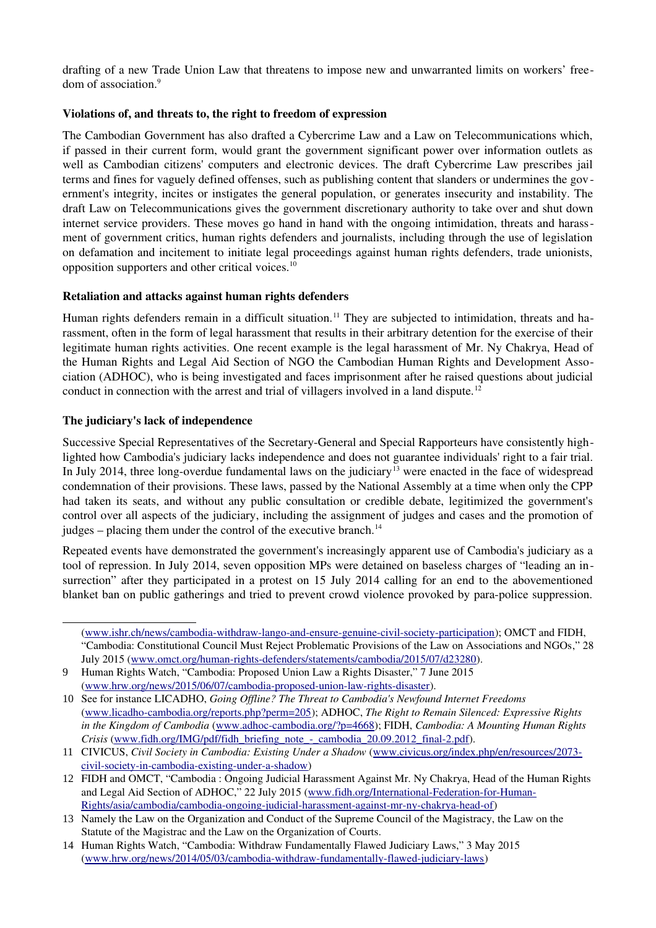drafting of a new Trade Union Law that threatens to impose new and unwarranted limits on workers' free-dom of association.<sup>[9](#page-4-0)</sup>

#### Violations of, and threats to, the right to freedom of expression

The Cambodian Government has also drafted a Cybercrime Law and a Law on Telecommunications which, if passed in their current form, would grant the government significant power over information outlets as well as Cambodian citizens' computers and electronic devices. The draft Cybercrime Law prescribes jail terms and fines for vaguely defined offenses, such as publishing content that slanders or undermines the government's integrity, incites or instigates the general population, or generates insecurity and instability. The draft Law on Telecommunications gives the government discretionary authority to take over and shut down internet service providers. These moves go hand in hand with the ongoing intimidation, threats and harassment of government critics, human rights defenders and journalists, including through the use of legislation on defamation and incitement to initiate legal proceedings against human rights defenders, trade unionists, opposition supporters and other critical voices.[10](#page-4-1)

#### Retaliation and attacks against human rights defenders

Human rights defenders remain in a difficult situation.<sup>[11](#page-4-2)</sup> They are subjected to intimidation, threats and harassment, often in the form of legal harassment that results in their arbitrary detention for the exercise of their legitimate human rights activities. One recent example is the legal harassment of Mr. Ny Chakrya, Head of the Human Rights and Legal Aid Section of NGO the Cambodian Human Rights and Development Association (ADHOC), who is being investigated and faces imprisonment after he raised questions about judicial conduct in connection with the arrest and trial of villagers involved in a land dispute.<sup>[12](#page-4-3)</sup>

#### The judiciary's lack of independence

Successive Special Representatives of the Secretary-General and Special Rapporteurs have consistently highlighted how Cambodia's judiciary lacks independence and does not guarantee individuals' right to a fair trial. In July 2014, three long-overdue fundamental laws on the judiciary<sup>[13](#page-4-4)</sup> were enacted in the face of widespread condemnation of their provisions. These laws, passed by the National Assembly at a time when only the CPP had taken its seats, and without any public consultation or credible debate, legitimized the government's control over all aspects of the judiciary, including the assignment of judges and cases and the promotion of judges – placing them under the control of the executive branch.<sup>[14](#page-4-5)</sup>

Repeated events have demonstrated the government's increasingly apparent use of Cambodia's judiciary as a tool of repression. In July 2014, seven opposition MPs were detained on baseless charges of "leading an insurrection" after they participated in a protest on 15 July 2014 calling for an end to the abovementioned blanket ban on public gatherings and tried to prevent crowd violence provoked by para-police suppression.

<sup>(</sup>www.ishr.ch/news/cambodia-withdraw-lango-and-ensure-genuine-civil-society-participation); OMCT and FIDH, "Cambodia: Constitutional Council Must Reject Problematic Provisions of the Law on Associations and NGOs," 28 July 2015 (www.omct.org/human-rights-defenders/statements/cambodia/2015/07/d23280).

<span id="page-4-0"></span><sup>9</sup> Human Rights Watch, "Cambodia: Proposed Union Law a Rights Disaster," 7 June 2015 (www.hrw.org/news/2015/06/07/cambodia-proposed-union-law-rights-disaster).

<span id="page-4-1"></span><sup>10</sup> See for instance LICADHO, *Going Offline? The Threat to Cambodia's Newfound Internet Freedoms* [\(www.licadhocambodia.org/reports.php?perm=205\)](http://www.licadho-cambodia.org/reports.php?perm=205); ADHOC, *The Right to Remain Silenced: Expressive Rights*  in the Kingdom of Cambodia (www.adhoc-cambodia.org/?p=4668); FIDH, *Cambodia: A Mounting Human Rights Crisis* (www.fidh.org/IMG/pdf/fidh\_briefing\_note\_-\_cambodia\_20.09.2012\_final-2.pdf).

<span id="page-4-2"></span><sup>11</sup> CIVICUS, *Civil Society in Cambodia: Existing Under a Shadow* [\(www.civicus.org/index.php/en/resources/2073](http://www.civicus.org/index.php/en/resources/2073-civil-society-in-cambodia-existing-under-a-shadow) civil-society-in-cambodia-existing-under-a-shadow)

<span id="page-4-3"></span><sup>12</sup> FIDH and OMCT, "Cambodia : Ongoing Judicial Harassment Against Mr. Ny Chakrya, Head of the Human Rights and Legal Aid Section of ADHOC," 22 July 2015 (www.fidh.org/International-Federation-for-Human-Rights/asia/cambodia/cambodia-ongoing-judicial-harassment-against-mr-ny-chakrya-head-of)

<span id="page-4-4"></span><sup>13</sup> Namely the Law on the Organization and Conduct of the Supreme Council of the Magistracy, the Law on the Statute of the Magistrac and the Law on the Organization of Courts.

<span id="page-4-5"></span><sup>14</sup> Human Rights Watch, "Cambodia: Withdraw Fundamentally Flawed Judiciary Laws," 3 May 2015 (www.hrw.org/news/2014/05/03/cambodia-withdraw-fundamentally-flawed-judiciary-laws)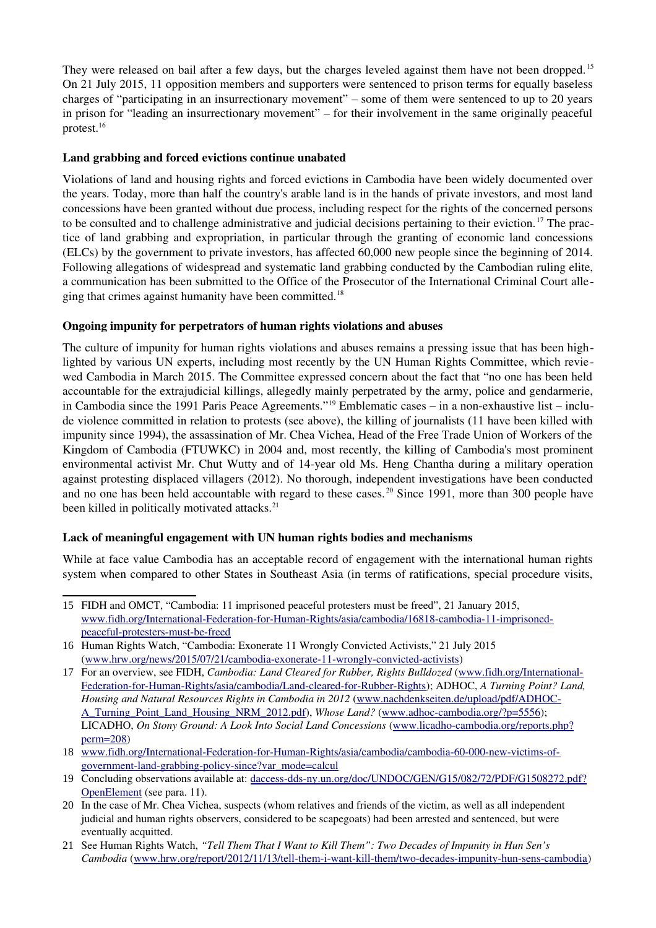They were released on bail after a few days, but the charges leveled against them have not been dropped. <sup>[15](#page-5-0)</sup> On 21 July 2015, 11 opposition members and supporters were sentenced to prison terms for equally baseless charges of "participating in an insurrectionary movement" – some of them were sentenced to up to 20 years in prison for "leading an insurrectionary movement" – for their involvement in the same originally peaceful protest.[16](#page-5-1)

## Land grabbing and forced evictions continue unabated

Violations of land and housing rights and forced evictions in Cambodia have been widely documented over the years. Today, more than half the country's arable land is in the hands of private investors, and most land concessions have been granted without due process, including respect for the rights of the concerned persons to be consulted and to challenge administrative and judicial decisions pertaining to their eviction. [17](#page-5-2) The practice of land grabbing and expropriation, in particular through the granting of economic land concessions (ELCs) by the government to private investors, has affected 60,000 new people since the beginning of 2014. Following allegations of widespread and systematic land grabbing conducted by the Cambodian ruling elite, a communication has been submitted to the Office of the Prosecutor of the International Criminal Court alle-ging that crimes against humanity have been committed.<sup>[18](#page-5-3)</sup>

## Ongoing impunity for perpetrators of human rights violations and abuses

The culture of impunity for human rights violations and abuses remains a pressing issue that has been highlighted by various UN experts, including most recently by the UN Human Rights Committee, which reviewed Cambodia in March 2015. The Committee expressed concern about the fact that "no one has been held accountable for the extrajudicial killings, allegedly mainly perpetrated by the army, police and gendarmerie, in Cambodia since the 1991 Paris Peace Agreements."[19](#page-5-4) Emblematic cases – in a nonexhaustive list – include violence committed in relation to protests (see above), the killing of journalists (11 have been killed with impunity since 1994), the assassination of Mr. Chea Vichea, Head of the Free Trade Union of Workers of the Kingdom of Cambodia (FTUWKC) in 2004 and, most recently, the killing of Cambodia's most prominent environmental activist Mr. Chut Wutty and of 14-year old Ms. Heng Chantha during a military operation against protesting displaced villagers (2012). No thorough, independent investigations have been conducted and no one has been held accountable with regard to these cases.<sup>[20](#page-5-5)</sup> Since 1991, more than 300 people have been killed in politically motivated attacks.<sup>[21](#page-5-6)</sup>

## Lack of meaningful engagement with UN human rights bodies and mechanisms

While at face value Cambodia has an acceptable record of engagement with the international human rights system when compared to other States in Southeast Asia (in terms of ratifications, special procedure visits,

<span id="page-5-0"></span><sup>15</sup> FIDH and OMCT, "Cambodia: 11 imprisoned peaceful protesters must be freed", 21 January 2015, www.fidh.org/International-Federation-for-Human-Rights/asia/cambodia/16818-cambodia-11-imprisonedpeaceful-protesters-must-be-freed

<span id="page-5-1"></span><sup>16</sup> Human Rights Watch, "Cambodia: Exonerate 11 Wrongly Convicted Activists," 21 July 2015  $(www.hrw.org/news/2015/07/21/cambodia-exonerate-11-wrongly-convicted-activists)$ 

<span id="page-5-2"></span><sup>17</sup> For an overview, see FIDH, *Cambodia: Land Cleared for Rubber, Rights Bulldozed* [\(www.fidh.org/International-](https://www.fidh.org/International-Federation-for-Human-Rights/asia/cambodia/Land-cleared-for-Rubber-Rights)Federation-for-Human-Rights/asia/cambodia/Land-cleared-for-Rubber-Rights); ADHOC, *A Turning Point? Land, Housing and Natural Resources Rights in Cambodia in 2012* [\(www.nachdenkseiten.de/upload/pdf/ADHOC-](http://www.nachdenkseiten.de/upload/pdf/ADHOC-A_Turning_Point_Land_Housing_NRM_2012.pdf)[A\\_Turning\\_Point\\_Land\\_Housing\\_NRM\\_2012.pdf\)](http://www.nachdenkseiten.de/upload/pdf/ADHOC-A_Turning_Point_Land_Housing_NRM_2012.pdf), *Whose Land?* (www.adhoc-cambodia.org/?p=5556); LICADHO, *On Stony Ground: A Look Into Social Land Concessions* (www.licadho-cambodia.org/reports.php? [perm=208\)](http://www.licadho-cambodia.org/reports.php?perm=208)

<span id="page-5-3"></span><sup>18</sup> www.fidh.org/International-Federation-for-Human-Rights/asia/cambodia/cambodia-60-000-new-victims-ofgovernment-land-grabbing-policy-since?var\_mode=calcul

<span id="page-5-4"></span><sup>19</sup> Concluding observations available at: daccess-dds-ny.un.org/doc/UNDOC/GEN/G15/082/72/PDF/G1508272.pdf? [OpenElement](http://daccess-dds-ny.un.org/doc/UNDOC/GEN/G15/082/72/PDF/G1508272.pdf?OpenElement) (see para. 11).

<span id="page-5-5"></span><sup>20</sup> In the case of Mr. Chea Vichea, suspects (whom relatives and friends of the victim, as well as all independent judicial and human rights observers, considered to be scapegoats) had been arrested and sentenced, but were eventually acquitted.

<span id="page-5-6"></span><sup>21</sup> See Human Rights Watch, *"Tell Them That I Want to Kill Them": Two Decades of Impunity in Hun Sen's Cambodia* (www.hrw.org/report/2012/11/13/tell-them-i-want-kill-them/two-decades-impunity-hun-sens-cambodia)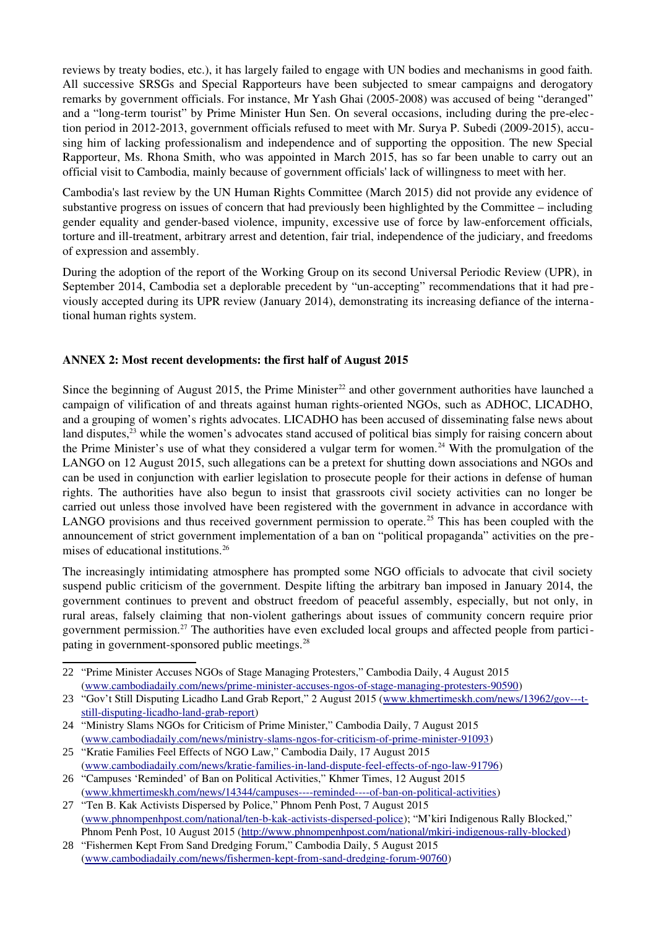reviews by treaty bodies, etc.), it has largely failed to engage with UN bodies and mechanisms in good faith. All successive SRSGs and Special Rapporteurs have been subjected to smear campaigns and derogatory remarks by government officials. For instance, Mr Yash Ghai (2005-2008) was accused of being "deranged" and a "long-term tourist" by Prime Minister Hun Sen. On several occasions, including during the pre-election period in 2012-2013, government officials refused to meet with Mr. Surva P. Subedi (2009-2015), accusing him of lacking professionalism and independence and of supporting the opposition. The new Special Rapporteur, Ms. Rhona Smith, who was appointed in March 2015, has so far been unable to carry out an official visit to Cambodia, mainly because of government officials' lack of willingness to meet with her.

Cambodia's last review by the UN Human Rights Committee (March 2015) did not provide any evidence of substantive progress on issues of concern that had previously been highlighted by the Committee – including gender equality and gender-based violence, impunity, excessive use of force by law-enforcement officials, torture and ill-treatment, arbitrary arrest and detention, fair trial, independence of the judiciary, and freedoms of expression and assembly.

During the adoption of the report of the Working Group on its second Universal Periodic Review (UPR), in September 2014, Cambodia set a deplorable precedent by "un-accepting" recommendations that it had previously accepted during its UPR review (January 2014), demonstrating its increasing defiance of the international human rights system.

## ANNEX 2: Most recent developments: the first half of August 2015

Since the beginning of August 2015, the Prime Minister<sup>[22](#page-6-0)</sup> and other government authorities have launched a campaign of vilification of and threats against human rights-oriented NGOs, such as ADHOC, LICADHO, and a grouping of women's rights advocates. LICADHO has been accused of disseminating false news about land disputes,<sup>[23](#page-6-1)</sup> while the women's advocates stand accused of political bias simply for raising concern about the Prime Minister's use of what they considered a vulgar term for women.<sup>[24](#page-6-2)</sup> With the promulgation of the LANGO on 12 August 2015, such allegations can be a pretext for shutting down associations and NGOs and can be used in conjunction with earlier legislation to prosecute people for their actions in defense of human rights. The authorities have also begun to insist that grassroots civil society activities can no longer be carried out unless those involved have been registered with the government in advance in accordance with LANGO provisions and thus received government permission to operate.<sup>[25](#page-6-3)</sup> This has been coupled with the announcement of strict government implementation of a ban on "political propaganda" activities on the pre-mises of educational institutions.<sup>[26](#page-6-4)</sup>

The increasingly intimidating atmosphere has prompted some NGO officials to advocate that civil society suspend public criticism of the government. Despite lifting the arbitrary ban imposed in January 2014, the government continues to prevent and obstruct freedom of peaceful assembly, especially, but not only, in rural areas, falsely claiming that nonviolent gatherings about issues of community concern require prior government permission.<sup>[27](#page-6-5)</sup> The authorities have even excluded local groups and affected people from partici-pating in government-sponsored public meetings.<sup>[28](#page-6-6)</sup>

<span id="page-6-0"></span><sup>22</sup> "Prime Minister Accuses NGOs of Stage Managing Protesters," Cambodia Daily, 4 August 2015 (www.cambodiadaily.com/news/prime-minister-accuses-ngos-of-stage-managing-protesters-90590)

<span id="page-6-1"></span><sup>23 &</sup>quot;Gov't Still Disputing Licadho Land Grab Report," 2 August 2015 (www.khmertimeskh.com/news/13962/gov---tstill-disputing-licadho-land-grab-report)

<span id="page-6-2"></span><sup>24</sup> "Ministry Slams NGOs for Criticism of Prime Minister," Cambodia Daily, 7 August 2015 (www.cambodiadaily.com/news/ministry-slams-ngos-for-criticism-of-prime-minister-91093)

<span id="page-6-3"></span><sup>25</sup> "Kratie Families Feel Effects of NGO Law," Cambodia Daily, 17 August 2015 (www.cambodiadaily.com/news/kratie-families-in-land-dispute-feel-effects-of-ngo-law-91796)

<span id="page-6-4"></span><sup>26</sup> "Campuses 'Reminded' of Ban on Political Activities," Khmer Times, 12 August 2015 (www.khmertimeskh.com/news/14344/campuses----reminded----of-ban-on-political-activities)

<span id="page-6-5"></span><sup>27</sup> "Ten B. Kak Activists Dispersed by Police," Phnom Penh Post, 7 August 2015 (www.phnompenhpost.com/national/ten-b-kak-activists-dispersed-police); "M'kiri Indigenous Rally Blocked," Phnom Penh Post, 10 August 2015 (http://www.phnompenhpost.com/national/mkiri-indigenous-rally-blocked)

<span id="page-6-6"></span><sup>28</sup> "Fishermen Kept From Sand Dredging Forum," Cambodia Daily, 5 August 2015 (www.cambodiadaily.com/news/fishermen-kept-from-sand-dredging-forum-90760)